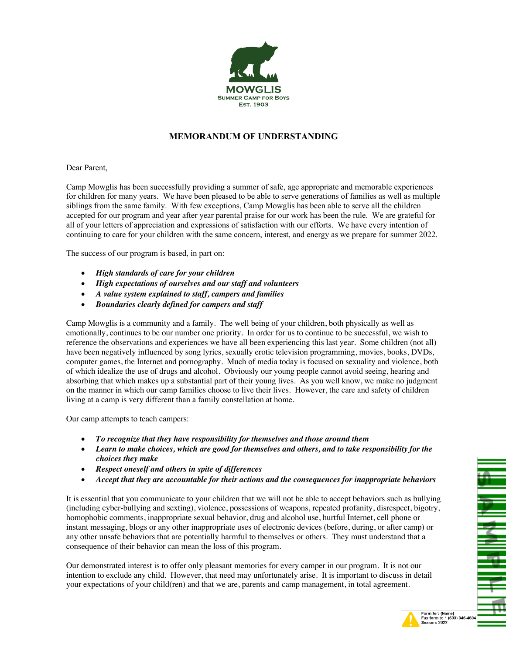

## **MEMORANDUM OF UNDERSTANDING**

Dear Parent,

Camp Mowglis has been successfully providing a summer of safe, age appropriate and memorable experiences for children for many years. We have been pleased to be able to serve generations of families as well as multiple siblings from the same family. With few exceptions, Camp Mowglis has been able to serve all the children accepted for our program and year after year parental praise for our work has been the rule. We are grateful for all of your letters of appreciation and expressions of satisfaction with our efforts. We have every intention of continuing to care for your children with the same concern, interest, and energy as we prepare for summer 2022.

The success of our program is based, in part on:

- *High standards of care for your children*
- *High expectations of ourselves and our staff and volunteers*
- *A value system explained to staff, campers and families*
- *Boundaries clearly defined for campers and staff*

Camp Mowglis is a community and a family. The well being of your children, both physically as well as emotionally, continues to be our number one priority. In order for us to continue to be successful, we wish to reference the observations and experiences we have all been experiencing this last year. Some children (not all) have been negatively influenced by song lyrics, sexually erotic television programming, movies, books, DVDs, computer games, the Internet and pornography. Much of media today is focused on sexuality and violence, both of which idealize the use of drugs and alcohol. Obviously our young people cannot avoid seeing, hearing and absorbing that which makes up a substantial part of their young lives. As you well know, we make no judgment on the manner in which our camp families choose to live their lives. However, the care and safety of children living at a camp is very different than a family constellation at home.

Our camp attempts to teach campers:

- *To recognize that they have responsibility for themselves and those around them*
- *Learn to make choices, which are good for themselves and others, and to take responsibility for the choices they make*
- *Respect oneself and others in spite of differences*
- *Accept that they are accountable for their actions and the consequences for inappropriate behaviors*

It is essential that you communicate to your children that we will not be able to accept behaviors such as bullying (including cyber-bullying and sexting), violence, possessions of weapons, repeated profanity, disrespect, bigotry, homophobic comments, inappropriate sexual behavior, drug and alcohol use, hurtful Internet, cell phone or instant messaging, blogs or any other inappropriate uses of electronic devices (before, during, or after camp) or any other unsafe behaviors that are potentially harmful to themselves or others. They must understand that a consequence of their behavior can mean the loss of this program.

Our demonstrated interest is to offer only pleasant memories for every camper in our program. It is not our intention to exclude any child. However, that need may unfortunately arise. It is important to discuss in detail your expectations of your child(ren) and that we are, parents and camp management, in total agreement.



 $\frac{1}{2}$ 

₹